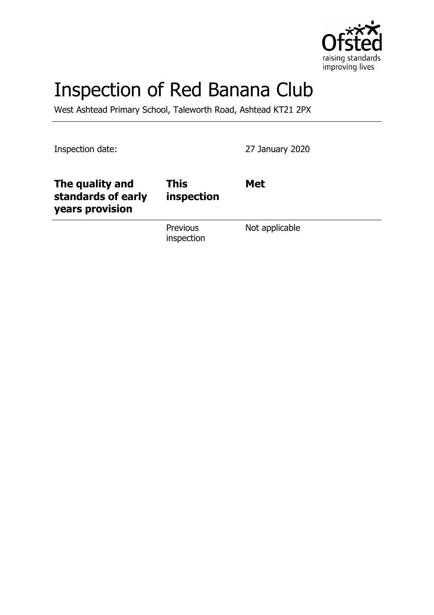

# Inspection of Red Banana Club

West Ashtead Primary School, Taleworth Road, Ashtead KT21 2PX

Inspection date: 27 January 2020

| The quality and<br>standards of early<br>years provision | <b>This</b><br>inspection     | <b>Met</b>     |
|----------------------------------------------------------|-------------------------------|----------------|
|                                                          | <b>Previous</b><br>inspection | Not applicable |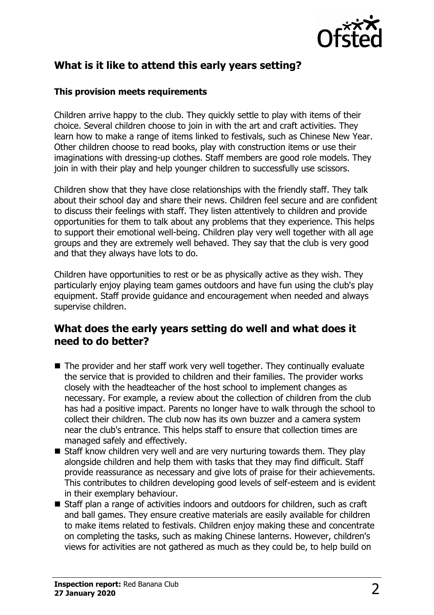

## **What is it like to attend this early years setting?**

#### **This provision meets requirements**

Children arrive happy to the club. They quickly settle to play with items of their choice. Several children choose to join in with the art and craft activities. They learn how to make a range of items linked to festivals, such as Chinese New Year. Other children choose to read books, play with construction items or use their imaginations with dressing-up clothes. Staff members are good role models. They join in with their play and help younger children to successfully use scissors.

Children show that they have close relationships with the friendly staff. They talk about their school day and share their news. Children feel secure and are confident to discuss their feelings with staff. They listen attentively to children and provide opportunities for them to talk about any problems that they experience. This helps to support their emotional well-being. Children play very well together with all age groups and they are extremely well behaved. They say that the club is very good and that they always have lots to do.

Children have opportunities to rest or be as physically active as they wish. They particularly enjoy playing team games outdoors and have fun using the club's play equipment. Staff provide guidance and encouragement when needed and always supervise children.

#### **What does the early years setting do well and what does it need to do better?**

- $\blacksquare$  The provider and her staff work very well together. They continually evaluate the service that is provided to children and their families. The provider works closely with the headteacher of the host school to implement changes as necessary. For example, a review about the collection of children from the club has had a positive impact. Parents no longer have to walk through the school to collect their children. The club now has its own buzzer and a camera system near the club's entrance. This helps staff to ensure that collection times are managed safely and effectively.
- $\blacksquare$  Staff know children very well and are very nurturing towards them. They play alongside children and help them with tasks that they may find difficult. Staff provide reassurance as necessary and give lots of praise for their achievements. This contributes to children developing good levels of self-esteem and is evident in their exemplary behaviour.
- Staff plan a range of activities indoors and outdoors for children, such as craft and ball games. They ensure creative materials are easily available for children to make items related to festivals. Children enjoy making these and concentrate on completing the tasks, such as making Chinese lanterns. However, children's views for activities are not gathered as much as they could be, to help build on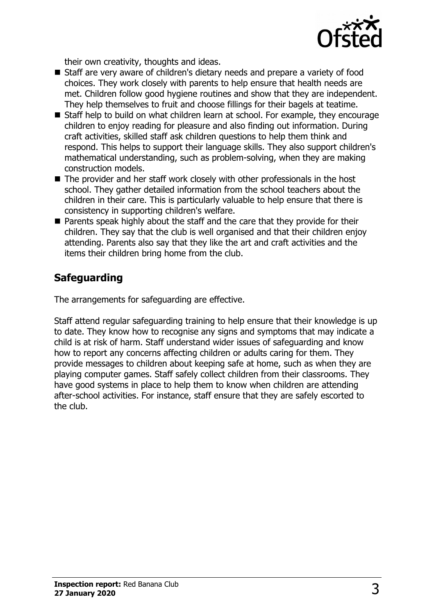

their own creativity, thoughts and ideas.

- Staff are very aware of children's dietary needs and prepare a variety of food choices. They work closely with parents to help ensure that health needs are met. Children follow good hygiene routines and show that they are independent. They help themselves to fruit and choose fillings for their bagels at teatime.
- Staff help to build on what children learn at school. For example, they encourage children to enjoy reading for pleasure and also finding out information. During craft activities, skilled staff ask children questions to help them think and respond. This helps to support their language skills. They also support children's mathematical understanding, such as problem-solving, when they are making construction models.
- $\blacksquare$  The provider and her staff work closely with other professionals in the host school. They gather detailed information from the school teachers about the children in their care. This is particularly valuable to help ensure that there is consistency in supporting children's welfare.
- $\blacksquare$  Parents speak highly about the staff and the care that they provide for their children. They say that the club is well organised and that their children enjoy attending. Parents also say that they like the art and craft activities and the items their children bring home from the club.

## **Safeguarding**

The arrangements for safeguarding are effective.

Staff attend regular safeguarding training to help ensure that their knowledge is up to date. They know how to recognise any signs and symptoms that may indicate a child is at risk of harm. Staff understand wider issues of safeguarding and know how to report any concerns affecting children or adults caring for them. They provide messages to children about keeping safe at home, such as when they are playing computer games. Staff safely collect children from their classrooms. They have good systems in place to help them to know when children are attending after-school activities. For instance, staff ensure that they are safely escorted to the club.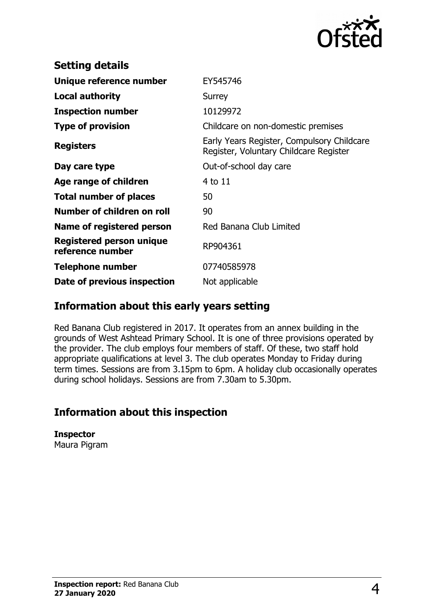

| EY545746                                                                             |  |
|--------------------------------------------------------------------------------------|--|
| Surrey                                                                               |  |
| 10129972                                                                             |  |
| Childcare on non-domestic premises                                                   |  |
| Early Years Register, Compulsory Childcare<br>Register, Voluntary Childcare Register |  |
| Out-of-school day care                                                               |  |
| 4 to 11                                                                              |  |
| 50                                                                                   |  |
| 90                                                                                   |  |
| Red Banana Club Limited                                                              |  |
| RP904361                                                                             |  |
| 07740585978                                                                          |  |
| Not applicable                                                                       |  |
|                                                                                      |  |

#### **Information about this early years setting**

Red Banana Club registered in 2017. It operates from an annex building in the grounds of West Ashtead Primary School. It is one of three provisions operated by the provider. The club employs four members of staff. Of these, two staff hold appropriate qualifications at level 3. The club operates Monday to Friday during term times. Sessions are from 3.15pm to 6pm. A holiday club occasionally operates during school holidays. Sessions are from 7.30am to 5.30pm.

## **Information about this inspection**

**Inspector** Maura Pigram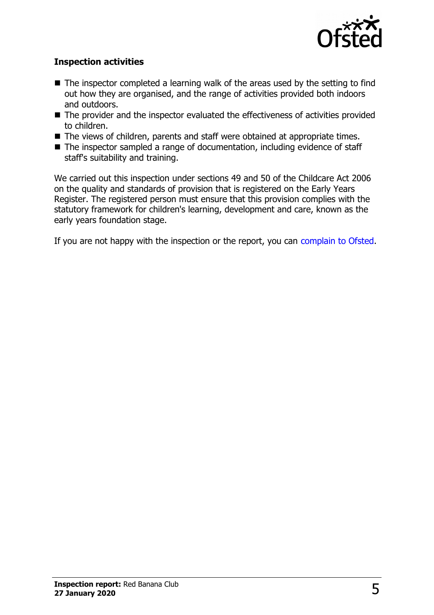

#### **Inspection activities**

- $\blacksquare$  The inspector completed a learning walk of the areas used by the setting to find out how they are organised, and the range of activities provided both indoors and outdoors.
- The provider and the inspector evaluated the effectiveness of activities provided to children.
- The views of children, parents and staff were obtained at appropriate times.
- $\blacksquare$  The inspector sampled a range of documentation, including evidence of staff staff's suitability and training.

We carried out this inspection under sections 49 and 50 of the Childcare Act 2006 on the quality and standards of provision that is registered on the Early Years Register. The registered person must ensure that this provision complies with the statutory framework for children's learning, development and care, known as the early years foundation stage.

If you are not happy with the inspection or the report, you can [complain to Ofsted.](http://www.gov.uk/complain-ofsted-report)